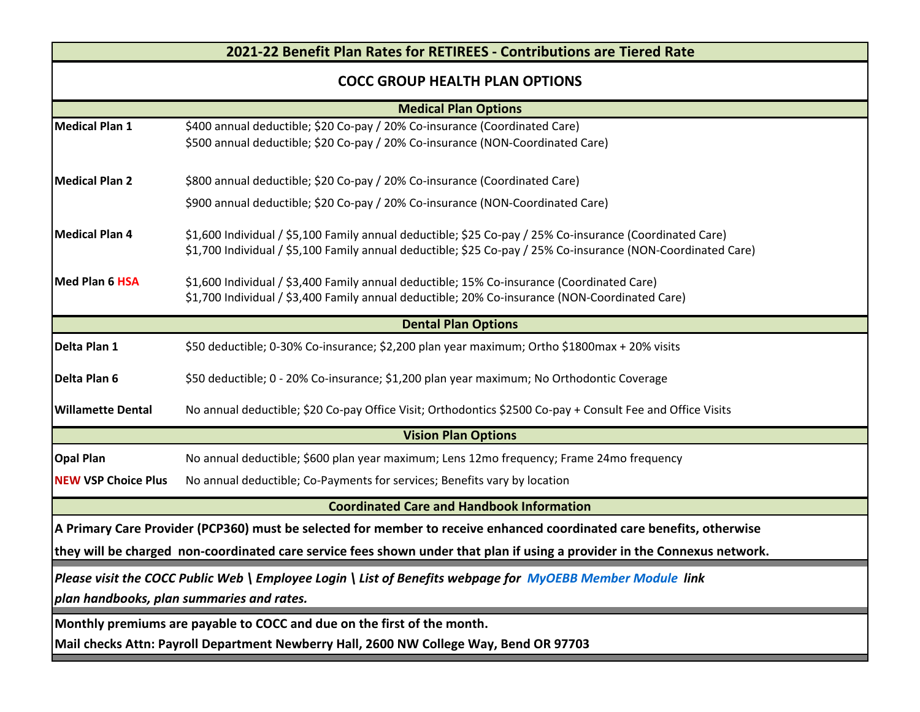## **2021-22 Benefit Plan Rates for RETIREES - Contributions are Tiered Rate**

## **COCC GROUP HEALTH PLAN OPTIONS**

|                            | <b>Medical Plan Options</b>                                                                                               |
|----------------------------|---------------------------------------------------------------------------------------------------------------------------|
| <b>Medical Plan 1</b>      | \$400 annual deductible; \$20 Co-pay / 20% Co-insurance (Coordinated Care)                                                |
|                            | \$500 annual deductible; \$20 Co-pay / 20% Co-insurance (NON-Coordinated Care)                                            |
|                            |                                                                                                                           |
| <b>Medical Plan 2</b>      | \$800 annual deductible; \$20 Co-pay / 20% Co-insurance (Coordinated Care)                                                |
|                            | \$900 annual deductible; \$20 Co-pay / 20% Co-insurance (NON-Coordinated Care)                                            |
| <b>Medical Plan 4</b>      | \$1,600 Individual / \$5,100 Family annual deductible; \$25 Co-pay / 25% Co-insurance (Coordinated Care)                  |
|                            | \$1,700 Individual / \$5,100 Family annual deductible; \$25 Co-pay / 25% Co-insurance (NON-Coordinated Care)              |
| Med Plan 6 HSA             | \$1,600 Individual / \$3,400 Family annual deductible; 15% Co-insurance (Coordinated Care)                                |
|                            | \$1,700 Individual / \$3,400 Family annual deductible; 20% Co-insurance (NON-Coordinated Care)                            |
|                            | <b>Dental Plan Options</b>                                                                                                |
| Delta Plan 1               | \$50 deductible; 0-30% Co-insurance; \$2,200 plan year maximum; Ortho \$1800max + 20% visits                              |
| Delta Plan 6               | \$50 deductible; 0 - 20% Co-insurance; \$1,200 plan year maximum; No Orthodontic Coverage                                 |
| <b>Willamette Dental</b>   | No annual deductible; \$20 Co-pay Office Visit; Orthodontics \$2500 Co-pay + Consult Fee and Office Visits                |
|                            | <b>Vision Plan Options</b>                                                                                                |
| <b>Opal Plan</b>           | No annual deductible; \$600 plan year maximum; Lens 12mo frequency; Frame 24mo frequency                                  |
| <b>NEW VSP Choice Plus</b> | No annual deductible; Co-Payments for services; Benefits vary by location                                                 |
|                            | <b>Coordinated Care and Handbook Information</b>                                                                          |
|                            | A Primary Care Provider (PCP360) must be selected for member to receive enhanced coordinated care benefits, otherwise     |
|                            | they will be charged non-coordinated care service fees shown under that plan if using a provider in the Connexus network. |
|                            | Please visit the COCC Public Web \ Employee Login \ List of Benefits webpage for MyOEBB Member Module link                |
|                            | plan handbooks, plan summaries and rates.                                                                                 |
|                            | Monthly premiums are payable to COCC and due on the first of the month.                                                   |

**Mail checks Attn: Payroll Department Newberry Hall, 2600 NW College Way, Bend OR 97703**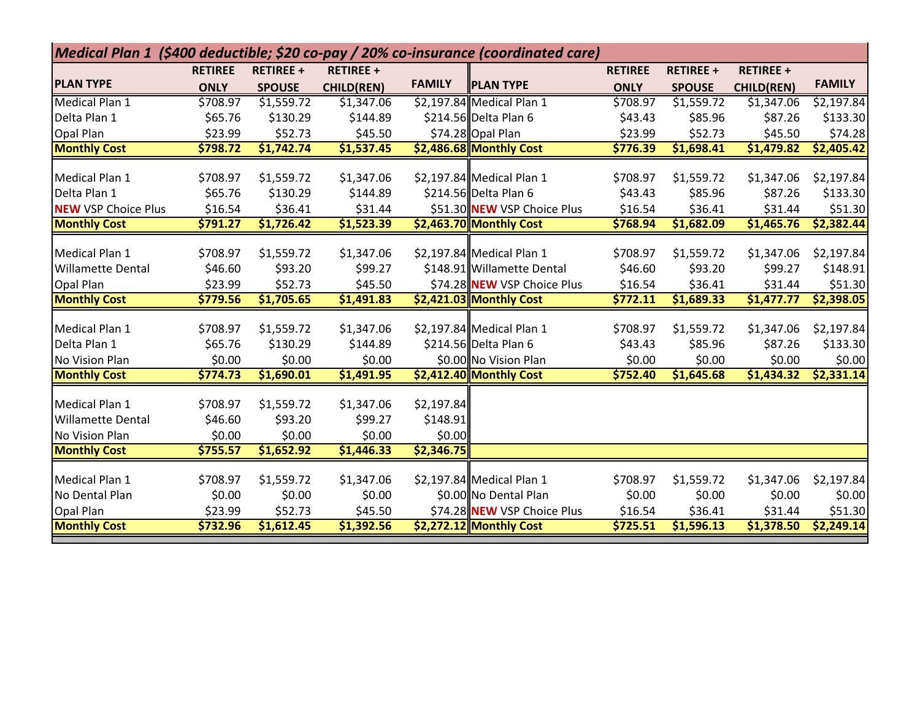|                            |                |                  |                   |               | Medical Plan 1 (\$400 deductible; \$20 co-pay / 20% co-insurance (coordinated care) |                |                  |                   |               |
|----------------------------|----------------|------------------|-------------------|---------------|-------------------------------------------------------------------------------------|----------------|------------------|-------------------|---------------|
|                            | <b>RETIREE</b> | <b>RETIREE +</b> | <b>RETIREE +</b>  |               |                                                                                     | <b>RETIREE</b> | <b>RETIREE +</b> | <b>RETIREE +</b>  |               |
| <b>PLAN TYPE</b>           | <b>ONLY</b>    | <b>SPOUSE</b>    | <b>CHILD(REN)</b> | <b>FAMILY</b> | <b>PLAN TYPE</b>                                                                    | <b>ONLY</b>    | <b>SPOUSE</b>    | <b>CHILD(REN)</b> | <b>FAMILY</b> |
| Medical Plan 1             | \$708.97       | \$1,559.72       | \$1,347.06        |               | \$2,197.84 Medical Plan 1                                                           | \$708.97       | \$1,559.72       | \$1,347.06        | \$2,197.84    |
| Delta Plan 1               | \$65.76        | \$130.29         | \$144.89          |               | \$214.56 Delta Plan 6                                                               | \$43.43        | \$85.96          | \$87.26           | \$133.30      |
| Opal Plan                  | \$23.99        | \$52.73          | \$45.50           |               | \$74.28 Opal Plan                                                                   | \$23.99        | \$52.73          | \$45.50           | \$74.28       |
| <b>Monthly Cost</b>        | \$798.72       | \$1,742.74       | \$1,537.45        |               | \$2,486.68 Monthly Cost                                                             | \$776.39       | \$1,698.41       | \$1,479.82        | \$2,405.42    |
|                            |                |                  |                   |               |                                                                                     |                |                  |                   |               |
| Medical Plan 1             | \$708.97       | \$1,559.72       | \$1,347.06        |               | \$2,197.84 Medical Plan 1                                                           | \$708.97       | \$1,559.72       | \$1,347.06        | \$2,197.84    |
| Delta Plan 1               | \$65.76        | \$130.29         | \$144.89          |               | \$214.56 Delta Plan 6                                                               | \$43.43        | \$85.96          | \$87.26           | \$133.30      |
| <b>NEW VSP Choice Plus</b> | \$16.54        | \$36.41          | \$31.44           |               | \$51.30 NEW VSP Choice Plus                                                         | \$16.54        | \$36.41          | \$31.44           | \$51.30       |
| <b>Monthly Cost</b>        | \$791.27       | \$1,726.42       | \$1,523.39        |               | \$2,463.70 Monthly Cost                                                             | \$768.94       | \$1,682.09       | \$1,465.76        | \$2,382.44    |
| Medical Plan 1             | \$708.97       | \$1,559.72       | \$1,347.06        |               | \$2,197.84 Medical Plan 1                                                           | \$708.97       | \$1,559.72       | \$1,347.06        | \$2,197.84    |
| <b>Willamette Dental</b>   | \$46.60        | \$93.20          | \$99.27           |               | \$148.91 Willamette Dental                                                          | \$46.60        | \$93.20          | \$99.27           | \$148.91      |
| Opal Plan                  | \$23.99        | \$52.73          | \$45.50           |               | \$74.28 NEW VSP Choice Plus                                                         | \$16.54        | \$36.41          | \$31.44           | \$51.30       |
| <b>Monthly Cost</b>        | \$779.56       | \$1,705.65       | \$1,491.83        |               | \$2,421.03 Monthly Cost                                                             | \$772.11       | \$1,689.33       | \$1,477.77        | \$2,398.05    |
|                            |                |                  |                   |               |                                                                                     |                |                  |                   |               |
| Medical Plan 1             | \$708.97       | \$1,559.72       | \$1,347.06        |               | \$2,197.84 Medical Plan 1                                                           | \$708.97       | \$1,559.72       | \$1,347.06        | \$2,197.84    |
| Delta Plan 1               | \$65.76        | \$130.29         | \$144.89          |               | \$214.56 Delta Plan 6                                                               | \$43.43        | \$85.96          | \$87.26           | \$133.30      |
| No Vision Plan             | \$0.00         | \$0.00           | \$0.00            |               | \$0.00 No Vision Plan                                                               | \$0.00         | \$0.00           | \$0.00            | \$0.00        |
| <b>Monthly Cost</b>        | \$774.73       | \$1,690.01       | \$1,491.95        |               | \$2,412.40 Monthly Cost                                                             | \$752.40       | \$1,645.68       | \$1,434.32        | \$2,331.14    |
| Medical Plan 1             | \$708.97       | \$1,559.72       | \$1,347.06        | \$2,197.84    |                                                                                     |                |                  |                   |               |
| <b>Willamette Dental</b>   | \$46.60        | \$93.20          | \$99.27           | \$148.91      |                                                                                     |                |                  |                   |               |
| No Vision Plan             | \$0.00         | \$0.00           | \$0.00            | \$0.00        |                                                                                     |                |                  |                   |               |
| <b>Monthly Cost</b>        | \$755.57       | \$1,652.92       | \$1,446.33        | \$2,346.75    |                                                                                     |                |                  |                   |               |
|                            |                |                  |                   |               |                                                                                     |                |                  |                   |               |
| Medical Plan 1             | \$708.97       | \$1,559.72       | \$1,347.06        |               | \$2,197.84 Medical Plan 1                                                           | \$708.97       | \$1,559.72       | \$1,347.06        | \$2,197.84    |
| No Dental Plan             | \$0.00         | \$0.00           | \$0.00            |               | \$0.00 No Dental Plan                                                               | \$0.00         | \$0.00           | \$0.00            | \$0.00        |
| Opal Plan                  | \$23.99        | \$52.73          | \$45.50           |               | \$74.28 NEW VSP Choice Plus                                                         | \$16.54        | \$36.41          | \$31.44           | \$51.30       |
| <b>Monthly Cost</b>        | \$732.96       | \$1,612.45       | \$1,392.56        |               | \$2,272.12 Monthly Cost                                                             | \$725.51       | \$1,596.13       | \$1,378.50        | \$2,249.14    |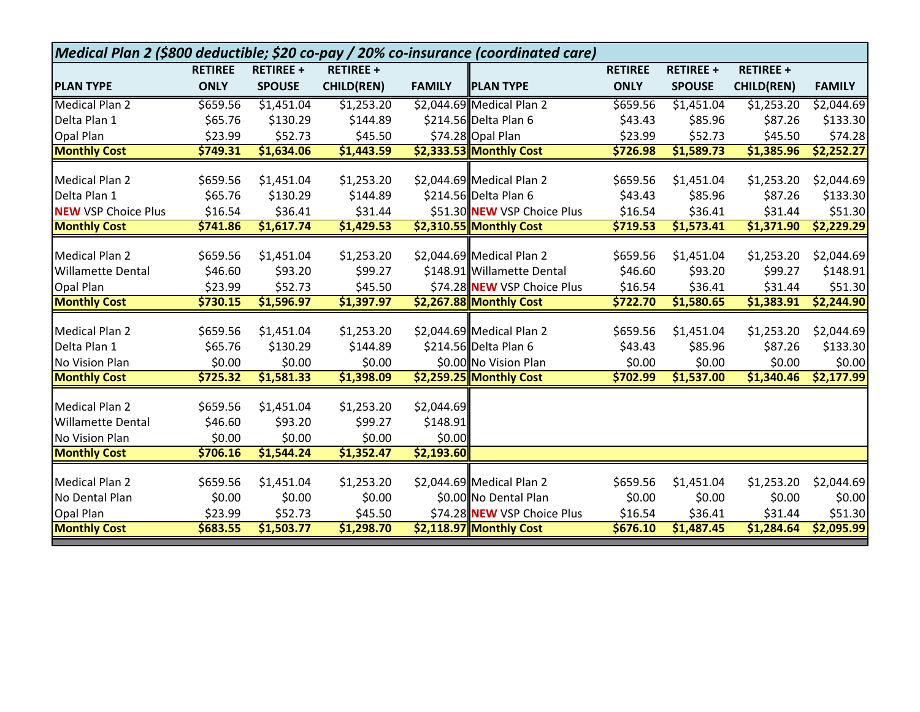|                                       |                    |                      |                      |                      | Medical Plan 2 (\$800 deductible; \$20 co-pay / 20% co-insurance (coordinated care) |                |                  |                   |                        |
|---------------------------------------|--------------------|----------------------|----------------------|----------------------|-------------------------------------------------------------------------------------|----------------|------------------|-------------------|------------------------|
|                                       | <b>RETIREE</b>     | <b>RETIREE +</b>     | <b>RETIREE +</b>     |                      |                                                                                     | <b>RETIREE</b> | <b>RETIREE +</b> | <b>RETIREE +</b>  |                        |
| <b>PLAN TYPE</b>                      | <b>ONLY</b>        | <b>SPOUSE</b>        | <b>CHILD(REN)</b>    | <b>FAMILY</b>        | <b>PLAN TYPE</b>                                                                    | <b>ONLY</b>    | <b>SPOUSE</b>    | <b>CHILD(REN)</b> | <b>FAMILY</b>          |
| <b>Medical Plan 2</b>                 | \$659.56           | \$1,451.04           | \$1,253.20           |                      | \$2,044.69 Medical Plan 2                                                           | \$659.56       | \$1,451.04       | \$1,253.20        | \$2,044.69             |
| Delta Plan 1                          | \$65.76            | \$130.29             | \$144.89             |                      | \$214.56 Delta Plan 6                                                               | \$43.43        | \$85.96          | \$87.26           | \$133.30               |
| <b>Opal Plan</b>                      | \$23.99            | \$52.73              | \$45.50              |                      | \$74.28 Opal Plan                                                                   | \$23.99        | \$52.73          | \$45.50           | \$74.28                |
| <b>Monthly Cost</b>                   | \$749.31           | \$1,634.06           | \$1,443.59           |                      | \$2,333.53 Monthly Cost                                                             | \$726.98       | \$1,589.73       | \$1,385.96        | \$2,252.27             |
| <b>Medical Plan 2</b>                 | \$659.56           | \$1,451.04           | \$1,253.20           |                      | \$2,044.69 Medical Plan 2                                                           | \$659.56       | \$1,451.04       | \$1,253.20        | \$2,044.69             |
| Delta Plan 1                          | \$65.76            | \$130.29             | \$144.89             |                      | \$214.56 Delta Plan 6                                                               | \$43.43        | \$85.96          | \$87.26           | \$133.30               |
| <b>NEW VSP Choice Plus</b>            | \$16.54            | \$36.41              | \$31.44              |                      | \$51.30 NEW VSP Choice Plus                                                         | \$16.54        | \$36.41          | \$31.44           | \$51.30                |
| <b>Monthly Cost</b>                   | \$741.86           | \$1,617.74           | \$1,429.53           |                      | \$2,310.55 Monthly Cost                                                             | \$719.53       | \$1,573.41       | \$1,371.90        | \$2,229.29             |
|                                       |                    |                      |                      |                      |                                                                                     |                |                  |                   |                        |
| <b>Medical Plan 2</b>                 | \$659.56           | \$1,451.04           | \$1,253.20           |                      | \$2,044.69 Medical Plan 2                                                           | \$659.56       | \$1,451.04       | \$1,253.20        | \$2,044.69             |
| <b>Willamette Dental</b>              | \$46.60            | \$93.20              | \$99.27              |                      | \$148.91 Willamette Dental                                                          | \$46.60        | \$93.20          | \$99.27           | \$148.91               |
| Opal Plan                             | \$23.99            | \$52.73              | \$45.50              |                      | \$74.28 NEW VSP Choice Plus                                                         | \$16.54        | \$36.41          | \$31.44           | \$51.30                |
| <b>Monthly Cost</b>                   | \$730.15           | \$1,596.97           | \$1,397.97           |                      | \$2,267.88 Monthly Cost                                                             | \$722.70       | \$1,580.65       | \$1,383.91        | $\overline{$2,244.90}$ |
| <b>Medical Plan 2</b>                 | \$659.56           | \$1,451.04           | \$1,253.20           |                      | \$2,044.69 Medical Plan 2                                                           | \$659.56       | \$1,451.04       | \$1,253.20        | \$2,044.69             |
| Delta Plan 1                          | \$65.76            | \$130.29             | \$144.89             |                      | \$214.56 Delta Plan 6                                                               | \$43.43        | \$85.96          | \$87.26           | \$133.30               |
| No Vision Plan                        | \$0.00             | \$0.00               | \$0.00               |                      | \$0.00 No Vision Plan                                                               | \$0.00         | \$0.00           | \$0.00            | \$0.00                 |
| <b>Monthly Cost</b>                   | \$725.32           | \$1,581.33           | \$1,398.09           |                      | \$2,259.25 Monthly Cost                                                             | \$702.99       | \$1,537.00       | \$1,340.46        | \$2,177.99             |
| <b>Medical Plan 2</b>                 | \$659.56           | \$1,451.04           | \$1,253.20           | \$2,044.69           |                                                                                     |                |                  |                   |                        |
| <b>Willamette Dental</b>              | \$46.60            | \$93.20              | \$99.27              | \$148.91             |                                                                                     |                |                  |                   |                        |
|                                       |                    |                      |                      |                      |                                                                                     |                |                  |                   |                        |
| No Vision Plan<br><b>Monthly Cost</b> | \$0.00<br>\$706.16 | \$0.00<br>\$1,544.24 | \$0.00<br>\$1,352.47 | \$0.00<br>\$2,193.60 |                                                                                     |                |                  |                   |                        |
|                                       |                    |                      |                      |                      |                                                                                     |                |                  |                   |                        |
| <b>Medical Plan 2</b>                 | \$659.56           | \$1,451.04           | \$1,253.20           |                      | \$2,044.69 Medical Plan 2                                                           | \$659.56       | \$1,451.04       | \$1,253.20        | \$2,044.69             |
| No Dental Plan                        | \$0.00             | \$0.00               | \$0.00               |                      | \$0.00 No Dental Plan                                                               | \$0.00         | \$0.00           | \$0.00            | \$0.00                 |
| Opal Plan                             | \$23.99            | \$52.73              | \$45.50              |                      | \$74.28 NEW VSP Choice Plus                                                         | \$16.54        | \$36.41          | \$31.44           | \$51.30                |
| <b>Monthly Cost</b>                   | \$683.55           | \$1,503.77           | \$1,298.70           |                      | \$2,118.97 Monthly Cost                                                             | \$676.10       | \$1,487.45       | \$1,284.64        | 52,095.99              |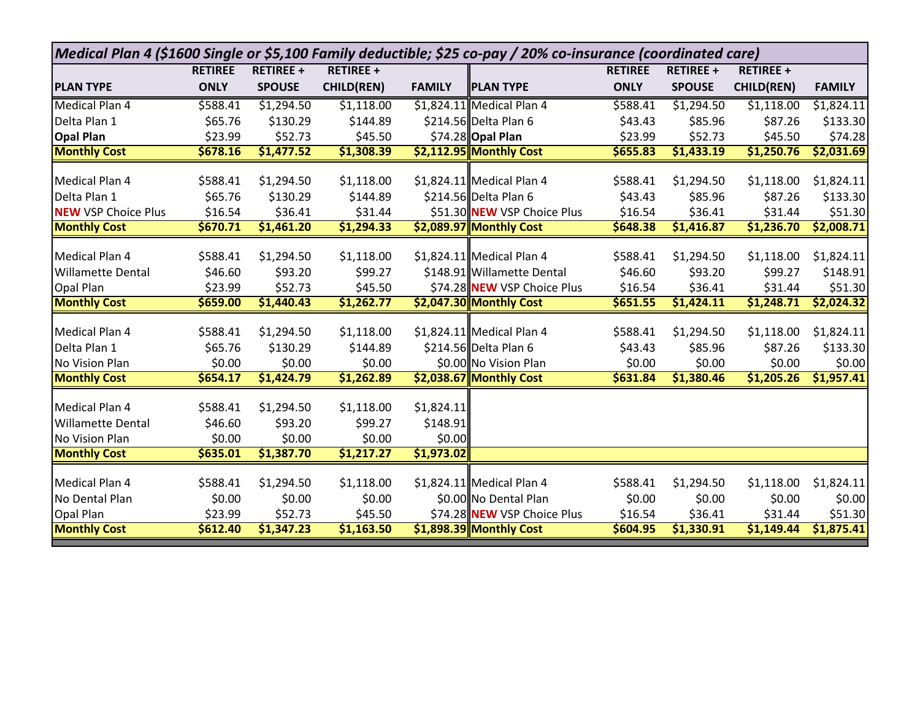| Medical Plan 4 (\$1600 Single or \$5,100 Family deductible; \$25 co-pay / 20% co-insurance (coordinated care) |                |                  |                   |               |                             |                |                  |                   |               |
|---------------------------------------------------------------------------------------------------------------|----------------|------------------|-------------------|---------------|-----------------------------|----------------|------------------|-------------------|---------------|
|                                                                                                               | <b>RETIREE</b> | <b>RETIREE +</b> | <b>RETIREE +</b>  |               |                             | <b>RETIREE</b> | <b>RETIREE +</b> | <b>RETIREE +</b>  |               |
| <b>PLAN TYPE</b>                                                                                              | <b>ONLY</b>    | <b>SPOUSE</b>    | <b>CHILD(REN)</b> | <b>FAMILY</b> | <b>PLAN TYPE</b>            | <b>ONLY</b>    | <b>SPOUSE</b>    | <b>CHILD(REN)</b> | <b>FAMILY</b> |
| <b>Medical Plan 4</b>                                                                                         | \$588.41       | \$1,294.50       | \$1,118.00        |               | \$1,824.11 Medical Plan 4   | \$588.41       | \$1,294.50       | \$1,118.00        | \$1,824.11    |
| Delta Plan 1                                                                                                  | \$65.76        | \$130.29         | \$144.89          |               | \$214.56 Delta Plan 6       | \$43.43        | \$85.96          | \$87.26           | \$133.30      |
| <b>Opal Plan</b>                                                                                              | \$23.99        | \$52.73          | \$45.50           |               | \$74.28 Opal Plan           | \$23.99        | \$52.73          | \$45.50           | \$74.28       |
| <b>Monthly Cost</b>                                                                                           | \$678.16       | \$1,477.52       | \$1,308.39        |               | \$2,112.95 Monthly Cost     | \$655.83       | \$1,433.19       | \$1,250.76        | \$2,031.69    |
| <b>Medical Plan 4</b>                                                                                         | \$588.41       | \$1,294.50       | \$1,118.00        |               | \$1,824.11 Medical Plan 4   | \$588.41       | \$1,294.50       | \$1,118.00        | \$1,824.11    |
| Delta Plan 1                                                                                                  | \$65.76        | \$130.29         | \$144.89          |               | \$214.56 Delta Plan 6       | \$43.43        | \$85.96          | \$87.26           | \$133.30      |
| <b>NEW VSP Choice Plus</b>                                                                                    | \$16.54        | \$36.41          | \$31.44           |               | \$51.30 NEW VSP Choice Plus | \$16.54        | \$36.41          | \$31.44           | \$51.30       |
| <b>Monthly Cost</b>                                                                                           | \$670.71       | \$1,461.20       | \$1,294.33        |               | \$2,089.97 Monthly Cost     | \$648.38       | \$1,416.87       | \$1,236.70        | \$2,008.71    |
| Medical Plan 4                                                                                                |                |                  |                   |               |                             |                |                  |                   |               |
|                                                                                                               | \$588.41       | \$1,294.50       | \$1,118.00        |               | \$1,824.11 Medical Plan 4   | \$588.41       | \$1,294.50       | \$1,118.00        | \$1,824.11    |
| <b>Willamette Dental</b>                                                                                      | \$46.60        | \$93.20          | \$99.27           |               | \$148.91 Willamette Dental  | \$46.60        | \$93.20          | \$99.27           | \$148.91      |
| Opal Plan                                                                                                     | \$23.99        | \$52.73          | \$45.50           |               | \$74.28 NEW VSP Choice Plus | \$16.54        | \$36.41          | \$31.44           | \$51.30       |
| <b>Monthly Cost</b>                                                                                           | \$659.00       | \$1,440.43       | \$1,262.77        |               | \$2,047.30 Monthly Cost     | \$651.55       | \$1,424.11       | \$1,248.71        | \$2,024.32    |
| Medical Plan 4                                                                                                | \$588.41       | \$1,294.50       | \$1,118.00        |               | \$1,824.11 Medical Plan 4   | \$588.41       | \$1,294.50       | \$1,118.00        | \$1,824.11    |
| Delta Plan 1                                                                                                  | \$65.76        | \$130.29         | \$144.89          |               | \$214.56 Delta Plan 6       | \$43.43        | \$85.96          | \$87.26           | \$133.30      |
| No Vision Plan                                                                                                | \$0.00         | \$0.00           | \$0.00            |               | \$0.00 No Vision Plan       | \$0.00         | \$0.00           | \$0.00            | \$0.00        |
| <b>Monthly Cost</b>                                                                                           | \$654.17       | \$1,424.79       | \$1,262.89        |               | \$2,038.67 Monthly Cost     | \$631.84       | \$1,380.46       | \$1,205.26        | \$1,957.41    |
| Medical Plan 4                                                                                                | \$588.41       | \$1,294.50       | \$1,118.00        | \$1,824.11    |                             |                |                  |                   |               |
| <b>Willamette Dental</b>                                                                                      | \$46.60        | \$93.20          | \$99.27           | \$148.91      |                             |                |                  |                   |               |
| No Vision Plan                                                                                                | \$0.00         | \$0.00           | \$0.00            | \$0.00        |                             |                |                  |                   |               |
| <b>Monthly Cost</b>                                                                                           | \$635.01       | \$1,387.70       | \$1,217.27        | \$1,973.02    |                             |                |                  |                   |               |
|                                                                                                               |                |                  |                   |               |                             |                |                  |                   |               |
| Medical Plan 4                                                                                                | \$588.41       | \$1,294.50       | \$1,118.00        |               | \$1,824.11 Medical Plan 4   | \$588.41       | \$1,294.50       | \$1,118.00        | \$1,824.11    |
| No Dental Plan                                                                                                | \$0.00         | \$0.00           | \$0.00            |               | \$0.00 No Dental Plan       | \$0.00         | \$0.00           | \$0.00            | \$0.00        |
| Opal Plan                                                                                                     | \$23.99        | \$52.73          | \$45.50           |               | \$74.28 NEW VSP Choice Plus | \$16.54        | \$36.41          | \$31.44           | \$51.30       |
| <b>Monthly Cost</b>                                                                                           | \$612.40       | \$1,347.23       | \$1,163.50        |               | \$1,898.39 Monthly Cost     | \$604.95       | \$1,330.91       | 51,149.44         | \$1,875.41    |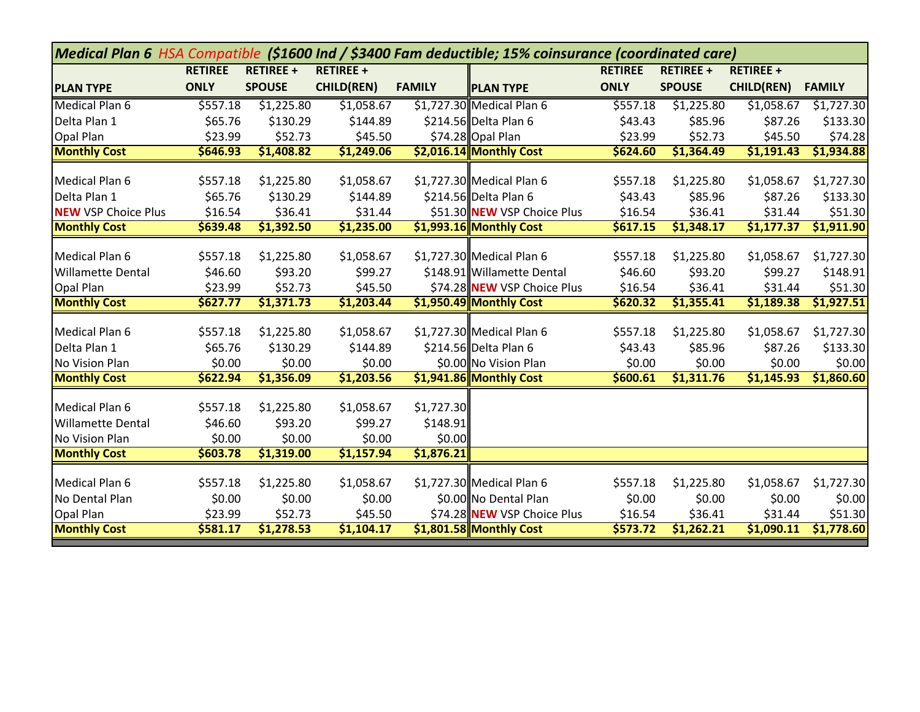| Medical Plan 6 HSA Compatible (\$1600 Ind / \$3400 Fam deductible; 15% coinsurance (coordinated care) |                     |                       |                       |               |                             |                     |                       |                       |                       |
|-------------------------------------------------------------------------------------------------------|---------------------|-----------------------|-----------------------|---------------|-----------------------------|---------------------|-----------------------|-----------------------|-----------------------|
|                                                                                                       | <b>RETIREE</b>      | <b>RETIREE +</b>      | <b>RETIREE +</b>      |               |                             | <b>RETIREE</b>      | <b>RETIREE +</b>      | <b>RETIREE +</b>      |                       |
| <b>PLAN TYPE</b>                                                                                      | <b>ONLY</b>         | <b>SPOUSE</b>         | <b>CHILD(REN)</b>     | <b>FAMILY</b> | <b>PLAN TYPE</b>            | <b>ONLY</b>         | <b>SPOUSE</b>         | <b>CHILD(REN)</b>     | <b>FAMILY</b>         |
| Medical Plan 6                                                                                        | \$557.18            | \$1,225.80            | \$1,058.67            |               | \$1,727.30 Medical Plan 6   | \$557.18            | \$1,225.80            | \$1,058.67            | \$1,727.30            |
| Delta Plan 1                                                                                          | \$65.76             | \$130.29              | \$144.89              |               | \$214.56 Delta Plan 6       | \$43.43             | \$85.96               | \$87.26               | \$133.30              |
| Opal Plan                                                                                             | \$23.99             | \$52.73               | \$45.50               |               | \$74.28 Opal Plan           | \$23.99             | \$52.73               | \$45.50               | \$74.28               |
| <b>Monthly Cost</b>                                                                                   | \$646.93            | \$1,408.82            | \$1,249.06            |               | \$2,016.14 Monthly Cost     | \$624.60            | \$1,364.49            | 51,191.43             | \$1,934.88            |
| Medical Plan 6                                                                                        | \$557.18            | \$1,225.80            | \$1,058.67            |               | \$1,727.30 Medical Plan 6   | \$557.18            | \$1,225.80            | \$1,058.67            | \$1,727.30            |
| Delta Plan 1                                                                                          | \$65.76             | \$130.29              | \$144.89              |               | \$214.56 Delta Plan 6       | \$43.43             | \$85.96               | \$87.26               | \$133.30              |
| <b>NEW VSP Choice Plus</b>                                                                            |                     |                       |                       |               | \$51.30 NEW VSP Choice Plus |                     |                       |                       |                       |
| <b>Monthly Cost</b>                                                                                   | \$16.54<br>\$639.48 | \$36.41<br>\$1,392.50 | \$31.44<br>\$1,235.00 |               | \$1,993.16 Monthly Cost     | \$16.54<br>\$617.15 | \$36.41<br>\$1,348.17 | \$31.44<br>\$1,177.37 | \$51.30<br>\$1,911.90 |
|                                                                                                       |                     |                       |                       |               |                             |                     |                       |                       |                       |
| Medical Plan 6                                                                                        | \$557.18            | \$1,225.80            | \$1,058.67            |               | \$1,727.30 Medical Plan 6   | \$557.18            | \$1,225.80            | \$1,058.67            | \$1,727.30            |
| <b>Willamette Dental</b>                                                                              | \$46.60             | \$93.20               | \$99.27               |               | \$148.91 Willamette Dental  | \$46.60             | \$93.20               | \$99.27               | \$148.91              |
| <b>Opal Plan</b>                                                                                      | \$23.99             | \$52.73               | \$45.50               |               | \$74.28 NEW VSP Choice Plus | \$16.54             | \$36.41               | \$31.44               | \$51.30               |
| <b>Monthly Cost</b>                                                                                   | \$627.77            | \$1,371.73            | \$1,203.44            |               | \$1,950.49 Monthly Cost     | \$620.32            | \$1,355.41            | 51,189.38             | \$1,927.51            |
|                                                                                                       |                     |                       |                       |               |                             |                     |                       |                       |                       |
| Medical Plan 6                                                                                        | \$557.18            | \$1,225.80            | \$1,058.67            |               | \$1,727.30 Medical Plan 6   | \$557.18            | \$1,225.80            | \$1,058.67            | \$1,727.30            |
| Delta Plan 1                                                                                          | \$65.76             | \$130.29              | \$144.89              |               | \$214.56 Delta Plan 6       | \$43.43             | \$85.96               | \$87.26               | \$133.30              |
| No Vision Plan                                                                                        | \$0.00              | \$0.00                | \$0.00                |               | \$0.00 No Vision Plan       | \$0.00              | \$0.00                | \$0.00                | \$0.00                |
| <b>Monthly Cost</b>                                                                                   | \$622.94            | \$1,356.09            | \$1,203.56            |               | \$1,941.86 Monthly Cost     | \$600.61            | \$1,311.76            | \$1,145.93            | \$1,860.60            |
| Medical Plan 6                                                                                        | \$557.18            | \$1,225.80            | \$1,058.67            | \$1,727.30    |                             |                     |                       |                       |                       |
| <b>Willamette Dental</b>                                                                              | \$46.60             | \$93.20               | \$99.27               | \$148.91      |                             |                     |                       |                       |                       |
| <b>No Vision Plan</b>                                                                                 | \$0.00              | \$0.00                | \$0.00                | \$0.00        |                             |                     |                       |                       |                       |
| <b>Monthly Cost</b>                                                                                   | \$603.78            | \$1,319.00            | \$1,157.94            | \$1,876.21    |                             |                     |                       |                       |                       |
|                                                                                                       |                     |                       |                       |               |                             |                     |                       |                       |                       |
| Medical Plan 6                                                                                        | \$557.18            | \$1,225.80            | \$1,058.67            |               | \$1,727.30 Medical Plan 6   | \$557.18            | \$1,225.80            | \$1,058.67            | \$1,727.30            |
| No Dental Plan                                                                                        | \$0.00              | \$0.00                | \$0.00                |               | \$0.00 No Dental Plan       | \$0.00              | \$0.00                | \$0.00                | \$0.00                |
| Opal Plan                                                                                             | \$23.99             | \$52.73               | \$45.50               |               | \$74.28 NEW VSP Choice Plus | \$16.54             | \$36.41               | \$31.44               | \$51.30               |
| <b>Monthly Cost</b>                                                                                   | \$581.17            | \$1,278.53            | \$1,104.17            |               | \$1,801.58 Monthly Cost     | \$573.72            | \$1,262.21            | 51,090.11             | \$1,778.60            |